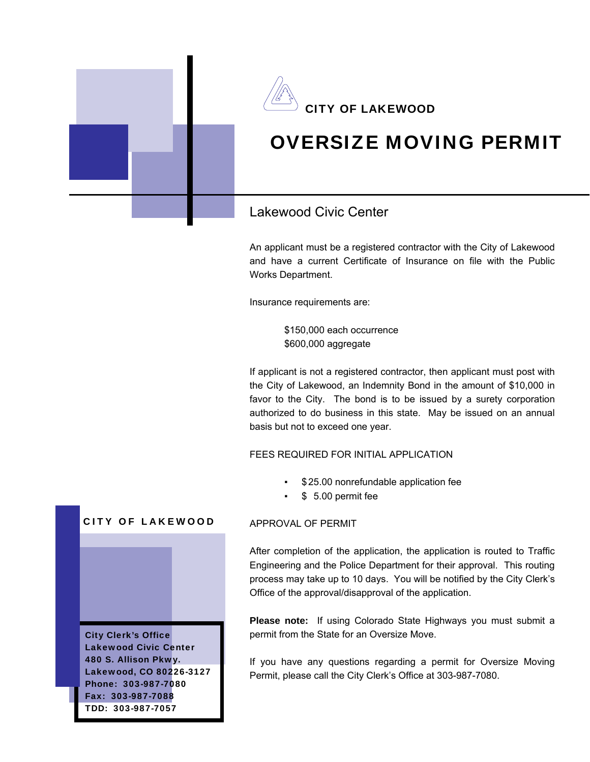

An applicant must be a registered contractor with the City of Lakewood and have a current Certificate of Insurance on file with the Public Works Department.

Insurance requirements are:

 \$150,000 each occurrence \$600,000 aggregate

If applicant is not a registered contractor, then applicant must post with the City of Lakewood, an Indemnity Bond in the amount of \$10,000 in favor to the City. The bond is to be issued by a surety corporation authorized to do business in this state. May be issued on an annual basis but not to exceed one year.

FEES REQUIRED FOR INITIAL APPLICATION

- \$25.00 nonrefundable application fee
- \$ 5.00 permit fee

## **CITY OF LAKEWOOD**

City Clerk's Office Lakewood Civic Center 480 S. Allison Pkwy. Lakewood, CO 80226-3127 Phone: 303-987-7080 Fax: 303-987-7088 TDD: 303-987-7057

## APPROVAL OF PERMIT

After completion of the application, the application is routed to Traffic Engineering and the Police Department for their approval. This routing process may take up to 10 days. You will be notified by the City Clerk's Office of the approval/disapproval of the application.

**Please note:** If using Colorado State Highways you must submit a permit from the State for an Oversize Move.

If you have any questions regarding a permit for Oversize Moving Permit, please call the City Clerk's Office at 303-987-7080.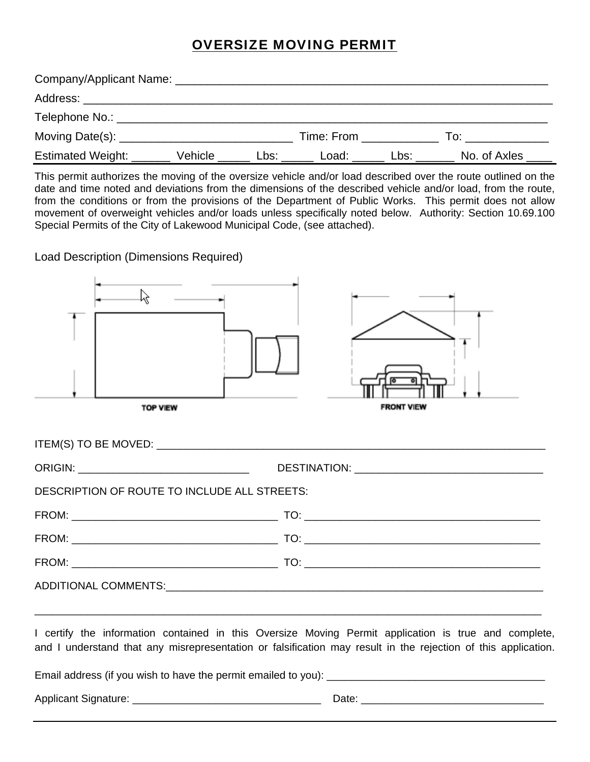## OVERSIZE MOVING PERMIT

| Company/Applicant Name: ________________ |         |      |            |      |              |
|------------------------------------------|---------|------|------------|------|--------------|
| Address:                                 |         |      |            |      |              |
| Telephone No.: _                         |         |      |            |      |              |
| Moving Date(s): _____                    |         |      | Time: From |      | To:          |
| <b>Estimated Weight:</b>                 | Vehicle | Lbs: | Load:      | Lbs: | No. of Axles |

This permit authorizes the moving of the oversize vehicle and/or load described over the route outlined on the date and time noted and deviations from the dimensions of the described vehicle and/or load, from the route, from the conditions or from the provisions of the Department of Public Works. This permit does not allow movement of overweight vehicles and/or loads unless specifically noted below. Authority: Section 10.69.100 Special Permits of the City of Lakewood Municipal Code, (see attached).

Load Description (Dimensions Required)

| ぜ<br><b>TOP VIEW</b>                         | <b>FRONT VIEW</b>                                                                                                                                                                                                     |
|----------------------------------------------|-----------------------------------------------------------------------------------------------------------------------------------------------------------------------------------------------------------------------|
|                                              |                                                                                                                                                                                                                       |
| ORIGIN: ___________________________________  |                                                                                                                                                                                                                       |
| DESCRIPTION OF ROUTE TO INCLUDE ALL STREETS: |                                                                                                                                                                                                                       |
|                                              |                                                                                                                                                                                                                       |
|                                              |                                                                                                                                                                                                                       |
|                                              |                                                                                                                                                                                                                       |
|                                              |                                                                                                                                                                                                                       |
|                                              | I certify the information contained in this Oversize Moving Permit application is true and complete,<br>and I understand that any misrepresentation or falsification may result in the rejection of this application. |
|                                              |                                                                                                                                                                                                                       |

Applicant Signature: \_\_\_\_\_\_\_\_\_\_\_\_\_\_\_\_\_\_\_\_\_\_\_\_\_\_\_\_\_\_\_\_ Date: \_\_\_\_\_\_\_\_\_\_\_\_\_\_\_\_\_\_\_\_\_\_\_\_\_\_\_\_\_\_\_